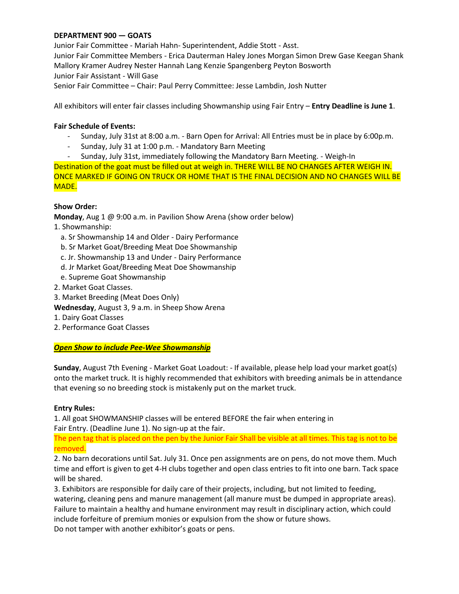### **DEPARTMENT 900 — GOATS**

Junior Fair Committee - Mariah Hahn- Superintendent, Addie Stott - Asst. Junior Fair Committee Members - Erica Dauterman Haley Jones Morgan Simon Drew Gase Keegan Shank Mallory Kramer Audrey Nester Hannah Lang Kenzie Spangenberg Peyton Bosworth Junior Fair Assistant - Will Gase Senior Fair Committee – Chair: Paul Perry Committee: Jesse Lambdin, Josh Nutter

All exhibitors will enter fair classes including Showmanship using Fair Entry – **Entry Deadline is June 1**.

#### **Fair Schedule of Events:**

- Sunday, July 31st at 8:00 a.m. Barn Open for Arrival: All Entries must be in place by 6:00p.m.
- Sunday, July 31 at 1:00 p.m. Mandatory Barn Meeting
- Sunday, July 31st, immediately following the Mandatory Barn Meeting. Weigh-In

Destination of the goat must be filled out at weigh in. THERE WILL BE NO CHANGES AFTER WEIGH IN. ONCE MARKED IF GOING ON TRUCK OR HOME THAT IS THE FINAL DECISION AND NO CHANGES WILL BE MADE.

#### **Show Order:**

**Monday**, Aug 1 @ 9:00 a.m. in Pavilion Show Arena (show order below)

1. Showmanship:

- a. Sr Showmanship 14 and Older Dairy Performance
- b. Sr Market Goat/Breeding Meat Doe Showmanship
- c. Jr. Showmanship 13 and Under Dairy Performance
- d. Jr Market Goat/Breeding Meat Doe Showmanship
- e. Supreme Goat Showmanship
- 2. Market Goat Classes.
- 3. Market Breeding (Meat Does Only)
- **Wednesday**, August 3, 9 a.m. in Sheep Show Arena
- 1. Dairy Goat Classes
- 2. Performance Goat Classes

#### *Open Show to include Pee-Wee Showmanship*

**Sunday**, August 7th Evening - Market Goat Loadout: - If available, please help load your market goat(s) onto the market truck. It is highly recommended that exhibitors with breeding animals be in attendance that evening so no breeding stock is mistakenly put on the market truck.

#### **Entry Rules:**

1. All goat SHOWMANSHIP classes will be entered BEFORE the fair when entering in Fair Entry. (Deadline June 1). No sign-up at the fair.

The pen tag that is placed on the pen by the Junior Fair Shall be visible at all times. This tag is not to be removed.

2. No barn decorations until Sat. July 31. Once pen assignments are on pens, do not move them. Much time and effort is given to get 4-H clubs together and open class entries to fit into one barn. Tack space will be shared.

3. Exhibitors are responsible for daily care of their projects, including, but not limited to feeding, watering, cleaning pens and manure management (all manure must be dumped in appropriate areas). Failure to maintain a healthy and humane environment may result in disciplinary action, which could include forfeiture of premium monies or expulsion from the show or future shows. Do not tamper with another exhibitor's goats or pens.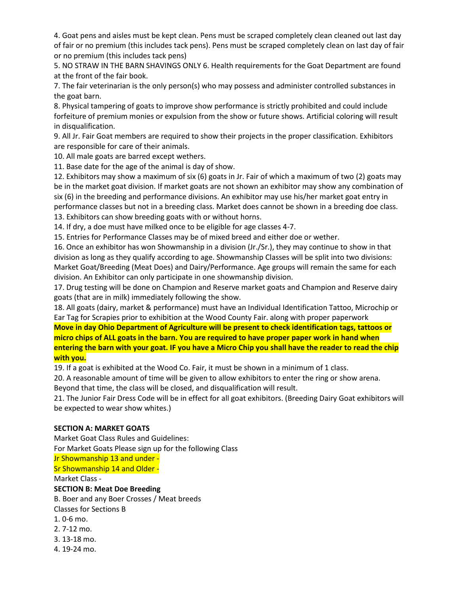4. Goat pens and aisles must be kept clean. Pens must be scraped completely clean cleaned out last day of fair or no premium (this includes tack pens). Pens must be scraped completely clean on last day of fair or no premium (this includes tack pens)

5. NO STRAW IN THE BARN SHAVINGS ONLY 6. Health requirements for the Goat Department are found at the front of the fair book.

7. The fair veterinarian is the only person(s) who may possess and administer controlled substances in the goat barn.

8. Physical tampering of goats to improve show performance is strictly prohibited and could include forfeiture of premium monies or expulsion from the show or future shows. Artificial coloring will result in disqualification.

9. All Jr. Fair Goat members are required to show their projects in the proper classification. Exhibitors are responsible for care of their animals.

10. All male goats are barred except wethers.

11. Base date for the age of the animal is day of show.

12. Exhibitors may show a maximum of six (6) goats in Jr. Fair of which a maximum of two (2) goats may be in the market goat division. If market goats are not shown an exhibitor may show any combination of six (6) in the breeding and performance divisions. An exhibitor may use his/her market goat entry in performance classes but not in a breeding class. Market does cannot be shown in a breeding doe class.

13. Exhibitors can show breeding goats with or without horns.

14. If dry, a doe must have milked once to be eligible for age classes 4-7.

15. Entries for Performance Classes may be of mixed breed and either doe or wether.

16. Once an exhibitor has won Showmanship in a division (Jr./Sr.), they may continue to show in that division as long as they qualify according to age. Showmanship Classes will be split into two divisions: Market Goat/Breeding (Meat Does) and Dairy/Performance. Age groups will remain the same for each division. An Exhibitor can only participate in one showmanship division.

17. Drug testing will be done on Champion and Reserve market goats and Champion and Reserve dairy goats (that are in milk) immediately following the show.

18. All goats (dairy, market & performance) must have an Individual Identification Tattoo, Microchip or Ear Tag for Scrapies prior to exhibition at the Wood County Fair. along with proper paperwork

**Move in day Ohio Department of Agriculture will be present to check identification tags, tattoos or micro chips of ALL goats in the barn. You are required to have proper paper work in hand when entering the barn with your goat. IF you have a Micro Chip you shall have the reader to read the chip with you.**

19. If a goat is exhibited at the Wood Co. Fair, it must be shown in a minimum of 1 class.

20. A reasonable amount of time will be given to allow exhibitors to enter the ring or show arena.

Beyond that time, the class will be closed, and disqualification will result.

21. The Junior Fair Dress Code will be in effect for all goat exhibitors. (Breeding Dairy Goat exhibitors will be expected to wear show whites.)

# **SECTION A: MARKET GOATS**

Market Goat Class Rules and Guidelines: For Market Goats Please sign up for the following Class Jr Showmanship 13 and under - Sr Showmanship 14 and Older - Market Class - **SECTION B: Meat Doe Breeding** B. Boer and any Boer Crosses / Meat breeds Classes for Sections B 1. 0-6 mo. 2. 7-12 mo. 3. 13-18 mo.

4. 19-24 mo.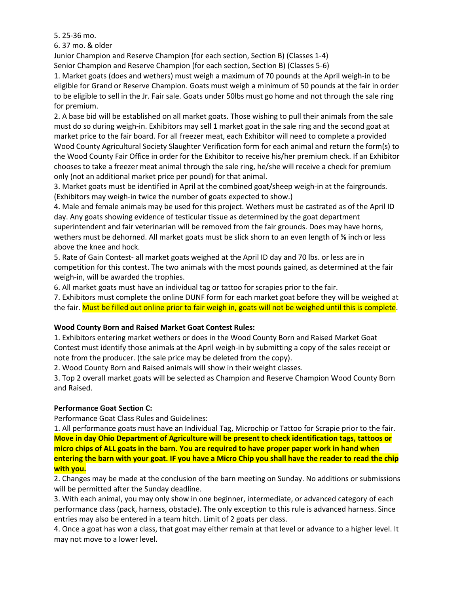5. 25-36 mo.

6. 37 mo. & older

Junior Champion and Reserve Champion (for each section, Section B) (Classes 1-4)

Senior Champion and Reserve Champion (for each section, Section B) (Classes 5-6)

1. Market goats (does and wethers) must weigh a maximum of 70 pounds at the April weigh-in to be eligible for Grand or Reserve Champion. Goats must weigh a minimum of 50 pounds at the fair in order to be eligible to sell in the Jr. Fair sale. Goats under 50lbs must go home and not through the sale ring for premium.

2. A base bid will be established on all market goats. Those wishing to pull their animals from the sale must do so during weigh-in. Exhibitors may sell 1 market goat in the sale ring and the second goat at market price to the fair board. For all freezer meat, each Exhibitor will need to complete a provided Wood County Agricultural Society Slaughter Verification form for each animal and return the form(s) to the Wood County Fair Office in order for the Exhibitor to receive his/her premium check. If an Exhibitor chooses to take a freezer meat animal through the sale ring, he/she will receive a check for premium only (not an additional market price per pound) for that animal.

3. Market goats must be identified in April at the combined goat/sheep weigh-in at the fairgrounds. (Exhibitors may weigh-in twice the number of goats expected to show.)

4. Male and female animals may be used for this project. Wethers must be castrated as of the April ID day. Any goats showing evidence of testicular tissue as determined by the goat department superintendent and fair veterinarian will be removed from the fair grounds. Does may have horns, wethers must be dehorned. All market goats must be slick shorn to an even length of % inch or less above the knee and hock.

5. Rate of Gain Contest- all market goats weighed at the April ID day and 70 lbs. or less are in competition for this contest. The two animals with the most pounds gained, as determined at the fair weigh-in, will be awarded the trophies.

6. All market goats must have an individual tag or tattoo for scrapies prior to the fair.

7. Exhibitors must complete the online DUNF form for each market goat before they will be weighed at the fair. Must be filled out online prior to fair weigh in, goats will not be weighed until this is complete.

# **Wood County Born and Raised Market Goat Contest Rules:**

1. Exhibitors entering market wethers or does in the Wood County Born and Raised Market Goat Contest must identify those animals at the April weigh-in by submitting a copy of the sales receipt or note from the producer. (the sale price may be deleted from the copy).

2. Wood County Born and Raised animals will show in their weight classes.

3. Top 2 overall market goats will be selected as Champion and Reserve Champion Wood County Born and Raised.

# **Performance Goat Section C:**

Performance Goat Class Rules and Guidelines:

1. All performance goats must have an Individual Tag, Microchip or Tattoo for Scrapie prior to the fair. **Move in day Ohio Department of Agriculture will be present to check identification tags, tattoos or micro chips of ALL goats in the barn. You are required to have proper paper work in hand when entering the barn with your goat. IF you have a Micro Chip you shall have the reader to read the chip with you.**

2. Changes may be made at the conclusion of the barn meeting on Sunday. No additions or submissions will be permitted after the Sunday deadline.

3. With each animal, you may only show in one beginner, intermediate, or advanced category of each performance class (pack, harness, obstacle). The only exception to this rule is advanced harness. Since entries may also be entered in a team hitch. Limit of 2 goats per class.

4. Once a goat has won a class, that goat may either remain at that level or advance to a higher level. It may not move to a lower level.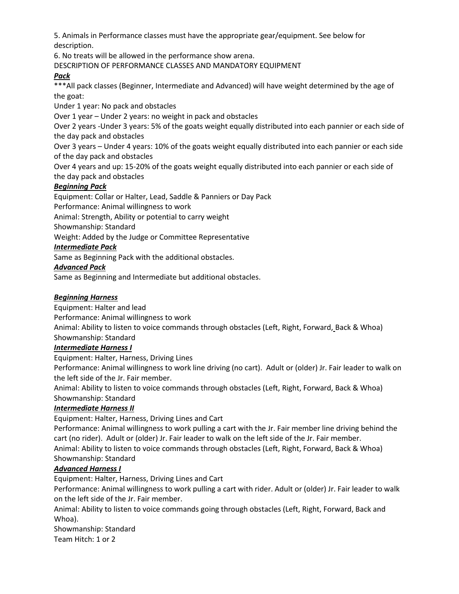5. Animals in Performance classes must have the appropriate gear/equipment. See below for description.

6. No treats will be allowed in the performance show arena.

DESCRIPTION OF PERFORMANCE CLASSES AND MANDATORY EQUIPMENT

### *Pack*

\*\*\*All pack classes (Beginner, Intermediate and Advanced) will have weight determined by the age of the goat:

Under 1 year: No pack and obstacles

Over 1 year – Under 2 years: no weight in pack and obstacles

Over 2 years -Under 3 years: 5% of the goats weight equally distributed into each pannier or each side of the day pack and obstacles

Over 3 years – Under 4 years: 10% of the goats weight equally distributed into each pannier or each side of the day pack and obstacles

Over 4 years and up: 15-20% of the goats weight equally distributed into each pannier or each side of the day pack and obstacles

# *Beginning Pack*

Equipment: Collar or Halter, Lead, Saddle & Panniers or Day Pack

Performance: Animal willingness to work

Animal: Strength, Ability or potential to carry weight

Showmanship: Standard

Weight: Added by the Judge or Committee Representative

### *Intermediate Pack*

Same as Beginning Pack with the additional obstacles.

#### *Advanced Pack*

Same as Beginning and Intermediate but additional obstacles.

#### *Beginning Harness*

Equipment: Halter and lead

Performance: Animal willingness to work

Animal: Ability to listen to voice commands through obstacles (Left, Right, Forward, Back & Whoa) Showmanship: Standard

#### *Intermediate Harness I*

Equipment: Halter, Harness, Driving Lines

Performance: Animal willingness to work line driving (no cart). Adult or (older) Jr. Fair leader to walk on the left side of the Jr. Fair member.

Animal: Ability to listen to voice commands through obstacles (Left, Right, Forward, Back & Whoa) Showmanship: Standard

#### *Intermediate Harness II*

Equipment: Halter, Harness, Driving Lines and Cart

Performance: Animal willingness to work pulling a cart with the Jr. Fair member line driving behind the cart (no rider). Adult or (older) Jr. Fair leader to walk on the left side of the Jr. Fair member. Animal: Ability to listen to voice commands through obstacles (Left, Right, Forward, Back & Whoa)

# Showmanship: Standard

# *Advanced Harness I*

Equipment: Halter, Harness, Driving Lines and Cart

Performance: Animal willingness to work pulling a cart with rider. Adult or (older) Jr. Fair leader to walk on the left side of the Jr. Fair member.

Animal: Ability to listen to voice commands going through obstacles (Left, Right, Forward, Back and Whoa).

Showmanship: Standard Team Hitch: 1 or 2